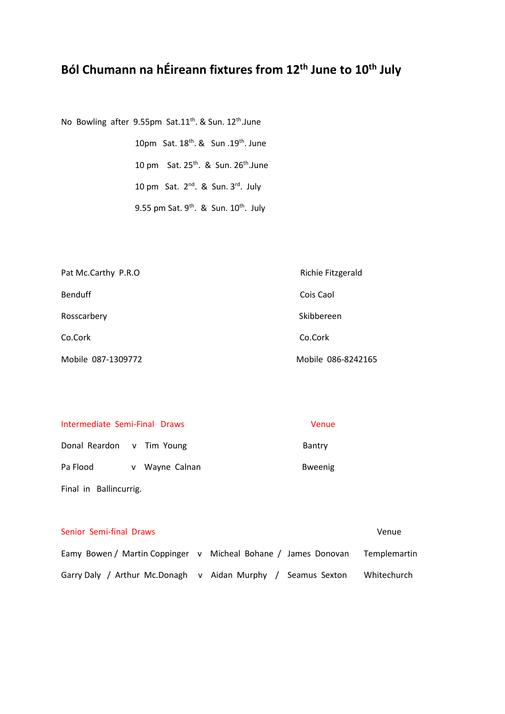# **Ból Chumann na hÉireann fixtures from 12th June to 10th July**

No Bowling after 9.55pm Sat.11<sup>th</sup>. & Sun. 12<sup>th</sup>.June

10pm Sat. 18<sup>th</sup>. & Sun .19<sup>th</sup>. June 10 pm Sat.  $25^{th}$ . & Sun.  $26^{th}$ . June 10 pm Sat.  $2^{nd}$ . & Sun.  $3^{rd}$ . July 9.55 pm Sat.  $9^{th}$ . & Sun.  $10^{th}$ . July

| Pat Mc.Carthy P.R.O | Richie Fitzgerald  |
|---------------------|--------------------|
| <b>Benduff</b>      | Cois Caol          |
| Rosscarbery         | Skibbereen         |
| Co.Cork             | Co.Cork            |
| Mobile 087-1309772  | Mobile 086-8242165 |

| Intermediate Semi-Final Draws | Venue |
|-------------------------------|-------|
|-------------------------------|-------|

Donal Reardon v Tim Young **Bantry** Bantry Pa Flood v Wayne Calnan v Bweenig Final in Ballincurrig.

| Senior Semi-final Draws                        |                                                                | Venue        |
|------------------------------------------------|----------------------------------------------------------------|--------------|
|                                                | Eamy Bowen / Martin Coppinger v Micheal Bohane / James Donovan | Templemartin |
| Garry Daly / Arthur Mc.Donagh v Aidan Murphy / | Seamus Sexton                                                  | Whitechurch  |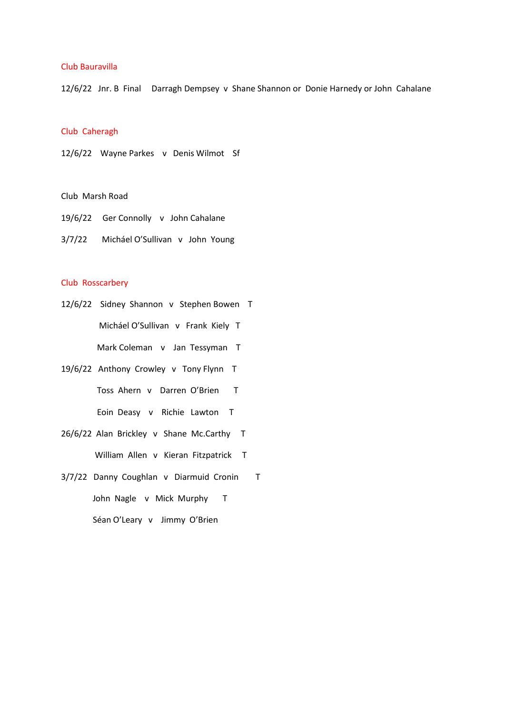#### Club Bauravilla

12/6/22 Jnr. B Final Darragh Dempsey v Shane Shannon or Donie Harnedy or John Cahalane

# Club Caheragh

12/6/22 Wayne Parkes v Denis Wilmot Sf

# Club Marsh Road

- 19/6/22 Ger Connolly v John Cahalane
- 3/7/22 Micháel O'Sullivan v John Young

# Club Rosscarbery

- 12/6/22 Sidney Shannon v Stephen Bowen T Micháel O'Sullivan v Frank Kiely T Mark Coleman v Jan Tessyman T
- 19/6/22 Anthony Crowley v Tony Flynn T Toss Ahern v Darren O'Brien T Eoin Deasy v Richie Lawton T
- 26/6/22 Alan Brickley v Shane Mc.Carthy T William Allen v Kieran Fitzpatrick T
- 3/7/22 Danny Coughlan v Diarmuid Cronin T John Nagle v Mick Murphy T Séan O'Leary v Jimmy O'Brien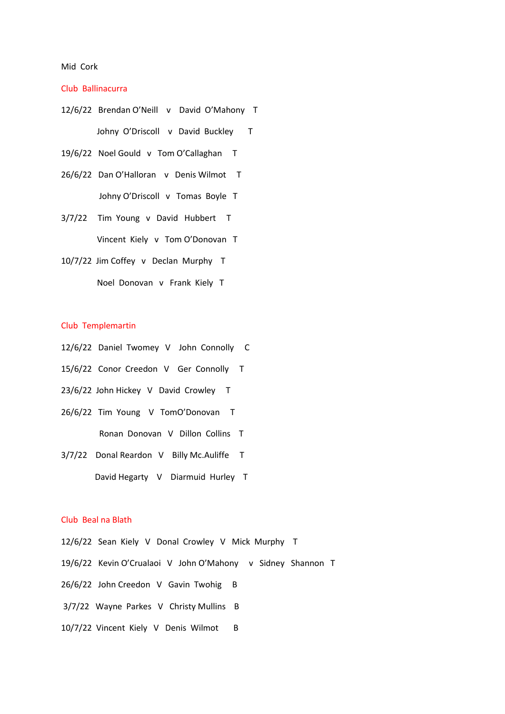#### Mid Cork

# Club Ballinacurra

| 12/6/22 Brendan O'Neill v David O'Mahony T |
|--------------------------------------------|
| Johny O'Driscoll v David Buckley T         |
| 19/6/22 Noel Gould v Tom O'Callaghan T     |
| 26/6/22 Dan O'Halloran v Denis Wilmot T    |
| Johny O'Driscoll v Tomas Boyle T           |
| 3/7/22 Tim Young v David Hubbert T         |
| Vincent Kiely v Tom O'Donovan T            |
| 10/7/22 Jim Coffey v Declan Murphy T       |
| Noel Donovan v Frank Kiely T               |

## Club Templemartin

- 12/6/22 Daniel Twomey V John Connolly C
- 15/6/22 Conor Creedon V Ger Connolly T
- 23/6/22 John Hickey V David Crowley T
- 26/6/22 Tim Young V TomO'Donovan T
	- Ronan Donovan V Dillon Collins T
- 3/7/22 Donal Reardon V Billy Mc.Auliffe T
	- David Hegarty V Diarmuid Hurley T

# Club Beal na Blath

12/6/22 Sean Kiely V Donal Crowley V Mick Murphy T 19/6/22 Kevin O'Crualaoi V John O'Mahony v Sidney Shannon T 26/6/22 John Creedon V Gavin Twohig B 3/7/22 Wayne Parkes V Christy Mullins B 10/7/22 Vincent Kiely V Denis Wilmot B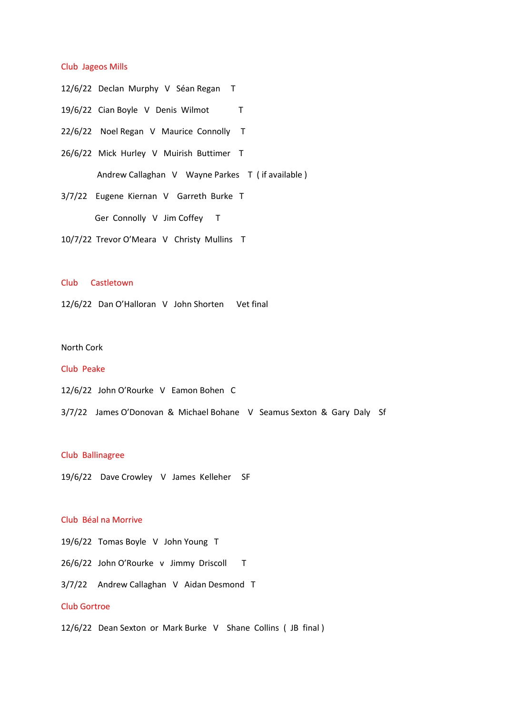### Club Jageos Mills

- 12/6/22 Declan Murphy V Séan Regan T
- 19/6/22 Cian Boyle V Denis Wilmot T
- 22/6/22 Noel Regan V Maurice Connolly T
- 26/6/22 Mick Hurley V Muirish Buttimer T Andrew Callaghan V Wayne Parkes T ( if available )
- 3/7/22 Eugene Kiernan V Garreth Burke T Ger Connolly V Jim Coffey T
- 10/7/22 Trevor O'Meara V Christy Mullins T

# Club Castletown

12/6/22 Dan O'Halloran V John Shorten Vet final

# North Cork

#### Club Peake

- 12/6/22 John O'Rourke V Eamon Bohen C
- 3/7/22 James O'Donovan & Michael Bohane V Seamus Sexton & Gary Daly Sf

## Club Ballinagree

19/6/22 Dave Crowley V James Kelleher SF

## Club Béal na Morrive

19/6/22 Tomas Boyle V John Young T

26/6/22 John O'Rourke v Jimmy Driscoll T

3/7/22 Andrew Callaghan V Aidan Desmond T

## Club Gortroe

12/6/22 Dean Sexton or Mark Burke V Shane Collins ( JB final )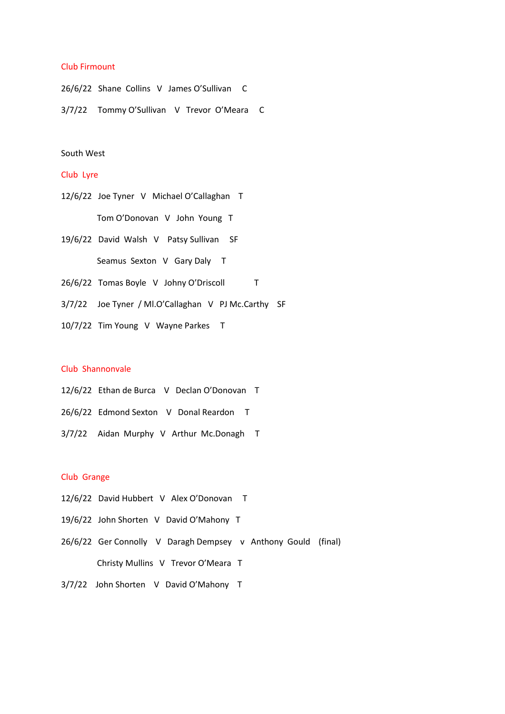## Club Firmount

26/6/22 Shane Collins V James O'Sullivan C 3/7/22 Tommy O'Sullivan V Trevor O'Meara C

## South West

# Club Lyre

- 12/6/22 Joe Tyner V Michael O'Callaghan T Tom O'Donovan V John Young T
- 19/6/22 David Walsh V Patsy Sullivan SF Seamus Sexton V Gary Daly T
- 26/6/22 Tomas Boyle V Johny O'Driscoll T
- 3/7/22 Joe Tyner / Ml.O'Callaghan V PJ Mc.Carthy SF
- 10/7/22 Tim Young V Wayne Parkes T

## Club Shannonvale

- 12/6/22 Ethan de Burca V Declan O'Donovan T
- 26/6/22 Edmond Sexton V Donal Reardon T
- 3/7/22 Aidan Murphy V Arthur Mc.Donagh T

# Club Grange

- 12/6/22 David Hubbert V Alex O'Donovan T
- 19/6/22 John Shorten V David O'Mahony T
- 26/6/22 Ger Connolly V Daragh Dempsey v Anthony Gould (final) Christy Mullins V Trevor O'Meara T
- 3/7/22 John Shorten V David O'Mahony T